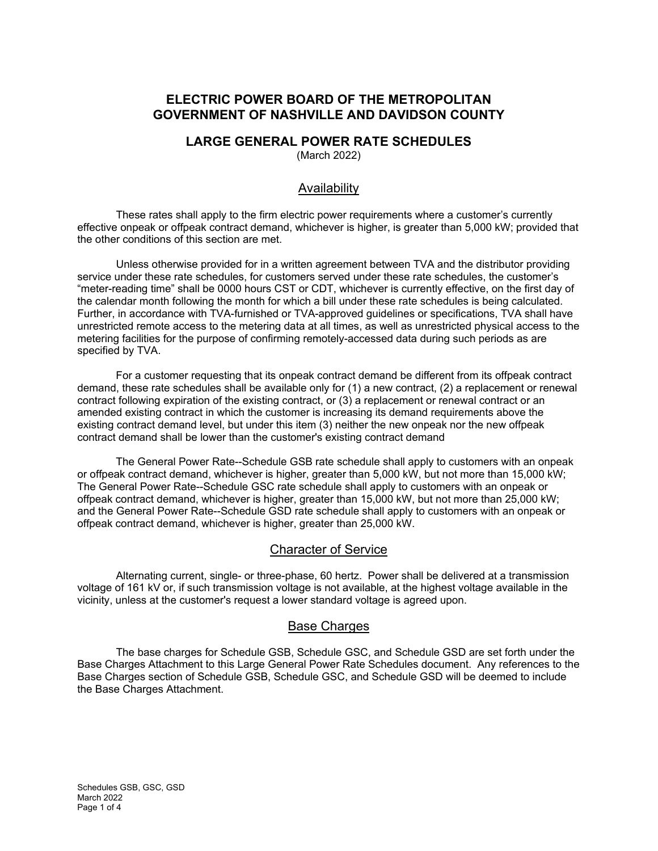# **ELECTRIC POWER BOARD OF THE METROPOLITAN GOVERNMENT OF NASHVILLE AND DAVIDSON COUNTY**

# **LARGE GENERAL POWER RATE SCHEDULES**

(March 2022)

## Availability

These rates shall apply to the firm electric power requirements where a customer's currently effective onpeak or offpeak contract demand, whichever is higher, is greater than 5,000 kW; provided that the other conditions of this section are met.

Unless otherwise provided for in a written agreement between TVA and the distributor providing service under these rate schedules, for customers served under these rate schedules, the customer's "meter-reading time" shall be 0000 hours CST or CDT, whichever is currently effective, on the first day of the calendar month following the month for which a bill under these rate schedules is being calculated. Further, in accordance with TVA-furnished or TVA-approved guidelines or specifications, TVA shall have unrestricted remote access to the metering data at all times, as well as unrestricted physical access to the metering facilities for the purpose of confirming remotely-accessed data during such periods as are specified by TVA.

For a customer requesting that its onpeak contract demand be different from its offpeak contract demand, these rate schedules shall be available only for (1) a new contract, (2) a replacement or renewal contract following expiration of the existing contract, or (3) a replacement or renewal contract or an amended existing contract in which the customer is increasing its demand requirements above the existing contract demand level, but under this item (3) neither the new onpeak nor the new offpeak contract demand shall be lower than the customer's existing contract demand

The General Power Rate--Schedule GSB rate schedule shall apply to customers with an onpeak or offpeak contract demand, whichever is higher, greater than 5,000 kW, but not more than 15,000 kW; The General Power Rate--Schedule GSC rate schedule shall apply to customers with an onpeak or offpeak contract demand, whichever is higher, greater than 15,000 kW, but not more than 25,000 kW; and the General Power Rate--Schedule GSD rate schedule shall apply to customers with an onpeak or offpeak contract demand, whichever is higher, greater than 25,000 kW.

## Character of Service

Alternating current, single- or three-phase, 60 hertz. Power shall be delivered at a transmission voltage of 161 kV or, if such transmission voltage is not available, at the highest voltage available in the vicinity, unless at the customer's request a lower standard voltage is agreed upon.

## Base Charges

The base charges for Schedule GSB, Schedule GSC, and Schedule GSD are set forth under the Base Charges Attachment to this Large General Power Rate Schedules document. Any references to the Base Charges section of Schedule GSB, Schedule GSC, and Schedule GSD will be deemed to include the Base Charges Attachment.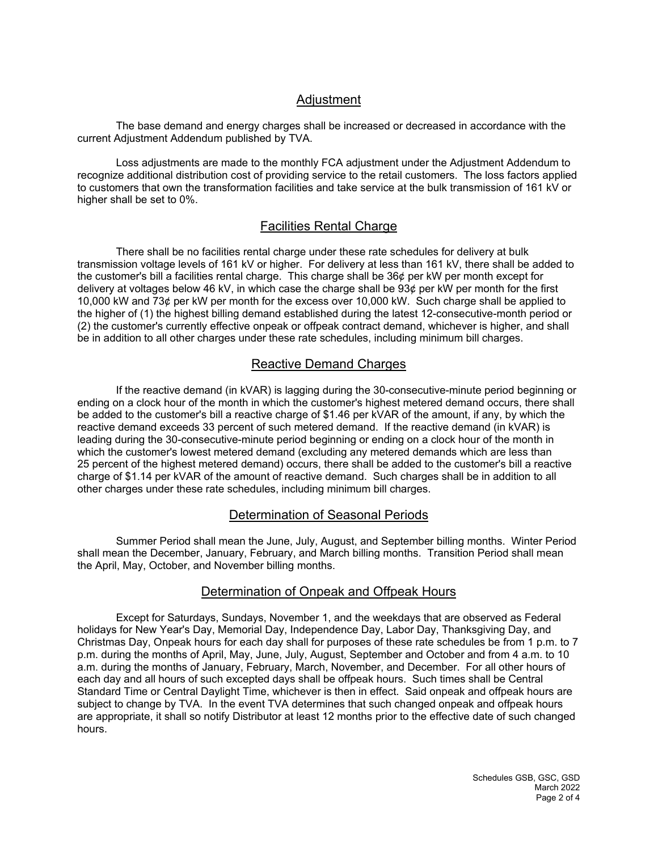## **Adjustment**

The base demand and energy charges shall be increased or decreased in accordance with the current Adjustment Addendum published by TVA.

Loss adjustments are made to the monthly FCA adjustment under the Adjustment Addendum to recognize additional distribution cost of providing service to the retail customers. The loss factors applied to customers that own the transformation facilities and take service at the bulk transmission of 161 kV or higher shall be set to 0%.

## Facilities Rental Charge

There shall be no facilities rental charge under these rate schedules for delivery at bulk transmission voltage levels of 161 kV or higher. For delivery at less than 161 kV, there shall be added to the customer's bill a facilities rental charge. This charge shall be 36¢ per kW per month except for delivery at voltages below 46 kV, in which case the charge shall be 93¢ per kW per month for the first 10,000 kW and 73¢ per kW per month for the excess over 10,000 kW. Such charge shall be applied to the higher of (1) the highest billing demand established during the latest 12-consecutive-month period or (2) the customer's currently effective onpeak or offpeak contract demand, whichever is higher, and shall be in addition to all other charges under these rate schedules, including minimum bill charges.

## Reactive Demand Charges

If the reactive demand (in kVAR) is lagging during the 30-consecutive-minute period beginning or ending on a clock hour of the month in which the customer's highest metered demand occurs, there shall be added to the customer's bill a reactive charge of \$1.46 per kVAR of the amount, if any, by which the reactive demand exceeds 33 percent of such metered demand. If the reactive demand (in kVAR) is leading during the 30-consecutive-minute period beginning or ending on a clock hour of the month in which the customer's lowest metered demand (excluding any metered demands which are less than 25 percent of the highest metered demand) occurs, there shall be added to the customer's bill a reactive charge of \$1.14 per kVAR of the amount of reactive demand. Such charges shall be in addition to all other charges under these rate schedules, including minimum bill charges.

## Determination of Seasonal Periods

Summer Period shall mean the June, July, August, and September billing months. Winter Period shall mean the December, January, February, and March billing months. Transition Period shall mean the April, May, October, and November billing months.

#### Determination of Onpeak and Offpeak Hours

Except for Saturdays, Sundays, November 1, and the weekdays that are observed as Federal holidays for New Year's Day, Memorial Day, Independence Day, Labor Day, Thanksgiving Day, and Christmas Day, Onpeak hours for each day shall for purposes of these rate schedules be from 1 p.m. to 7 p.m. during the months of April, May, June, July, August, September and October and from 4 a.m. to 10 a.m. during the months of January, February, March, November, and December. For all other hours of each day and all hours of such excepted days shall be offpeak hours. Such times shall be Central Standard Time or Central Daylight Time, whichever is then in effect. Said onpeak and offpeak hours are subject to change by TVA. In the event TVA determines that such changed onpeak and offpeak hours are appropriate, it shall so notify Distributor at least 12 months prior to the effective date of such changed hours.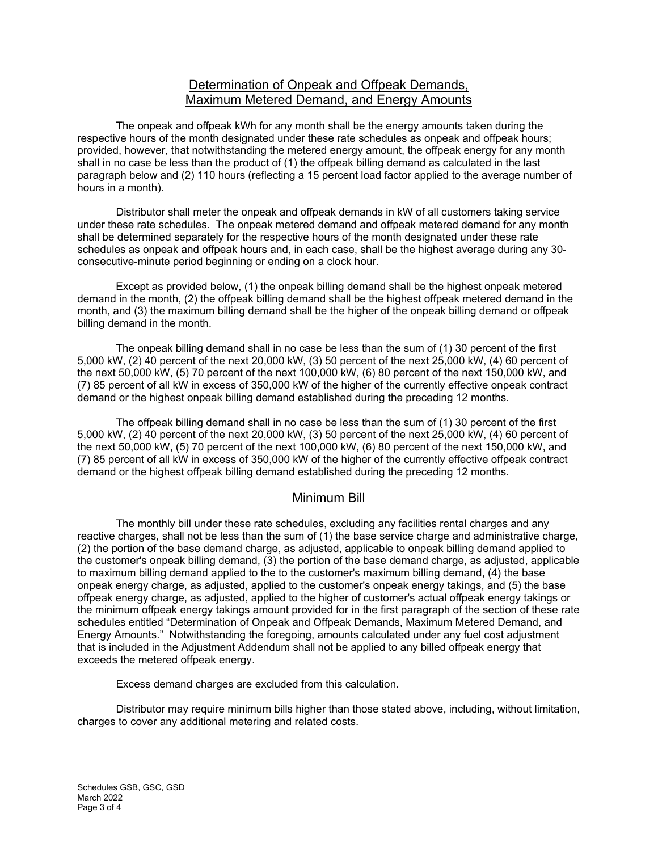## Determination of Onpeak and Offpeak Demands, Maximum Metered Demand, and Energy Amounts

The onpeak and offpeak kWh for any month shall be the energy amounts taken during the respective hours of the month designated under these rate schedules as onpeak and offpeak hours; provided, however, that notwithstanding the metered energy amount, the offpeak energy for any month shall in no case be less than the product of (1) the offpeak billing demand as calculated in the last paragraph below and (2) 110 hours (reflecting a 15 percent load factor applied to the average number of hours in a month).

Distributor shall meter the onpeak and offpeak demands in kW of all customers taking service under these rate schedules. The onpeak metered demand and offpeak metered demand for any month shall be determined separately for the respective hours of the month designated under these rate schedules as onpeak and offpeak hours and, in each case, shall be the highest average during any 30 consecutive-minute period beginning or ending on a clock hour.

Except as provided below, (1) the onpeak billing demand shall be the highest onpeak metered demand in the month, (2) the offpeak billing demand shall be the highest offpeak metered demand in the month, and (3) the maximum billing demand shall be the higher of the onpeak billing demand or offpeak billing demand in the month.

The onpeak billing demand shall in no case be less than the sum of (1) 30 percent of the first 5,000 kW, (2) 40 percent of the next 20,000 kW, (3) 50 percent of the next 25,000 kW, (4) 60 percent of the next 50,000 kW, (5) 70 percent of the next 100,000 kW, (6) 80 percent of the next 150,000 kW, and (7) 85 percent of all kW in excess of 350,000 kW of the higher of the currently effective onpeak contract demand or the highest onpeak billing demand established during the preceding 12 months.

The offpeak billing demand shall in no case be less than the sum of (1) 30 percent of the first 5,000 kW, (2) 40 percent of the next 20,000 kW, (3) 50 percent of the next 25,000 kW, (4) 60 percent of the next 50,000 kW, (5) 70 percent of the next 100,000 kW, (6) 80 percent of the next 150,000 kW, and (7) 85 percent of all kW in excess of 350,000 kW of the higher of the currently effective offpeak contract demand or the highest offpeak billing demand established during the preceding 12 months.

## Minimum Bill

The monthly bill under these rate schedules, excluding any facilities rental charges and any reactive charges, shall not be less than the sum of (1) the base service charge and administrative charge, (2) the portion of the base demand charge, as adjusted, applicable to onpeak billing demand applied to the customer's onpeak billing demand, (3) the portion of the base demand charge, as adjusted, applicable to maximum billing demand applied to the to the customer's maximum billing demand, (4) the base onpeak energy charge, as adjusted, applied to the customer's onpeak energy takings, and (5) the base offpeak energy charge, as adjusted, applied to the higher of customer's actual offpeak energy takings or the minimum offpeak energy takings amount provided for in the first paragraph of the section of these rate schedules entitled "Determination of Onpeak and Offpeak Demands, Maximum Metered Demand, and Energy Amounts." Notwithstanding the foregoing, amounts calculated under any fuel cost adjustment that is included in the Adjustment Addendum shall not be applied to any billed offpeak energy that exceeds the metered offpeak energy.

Excess demand charges are excluded from this calculation.

Distributor may require minimum bills higher than those stated above, including, without limitation, charges to cover any additional metering and related costs.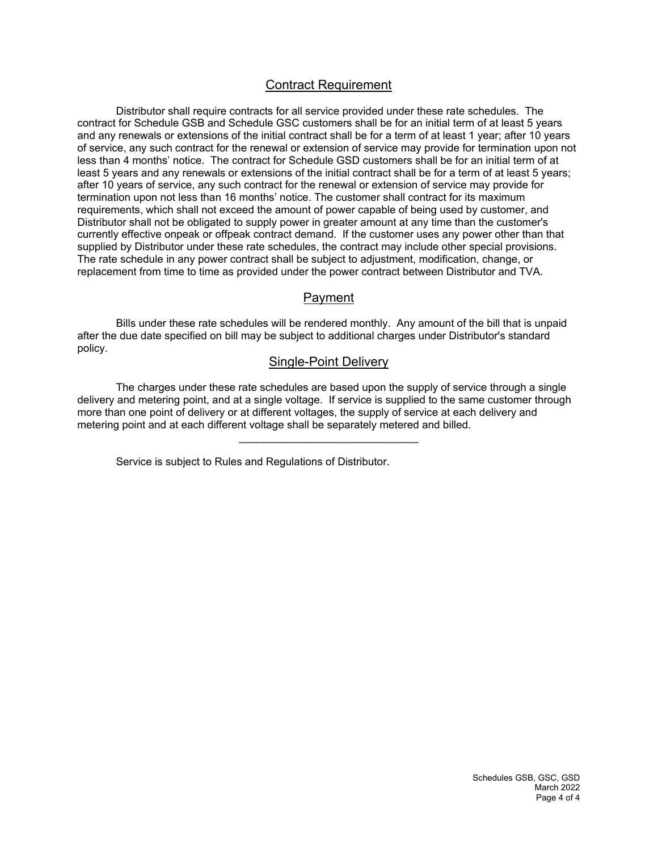## Contract Requirement

Distributor shall require contracts for all service provided under these rate schedules. The contract for Schedule GSB and Schedule GSC customers shall be for an initial term of at least 5 years and any renewals or extensions of the initial contract shall be for a term of at least 1 year; after 10 years of service, any such contract for the renewal or extension of service may provide for termination upon not less than 4 months' notice. The contract for Schedule GSD customers shall be for an initial term of at least 5 years and any renewals or extensions of the initial contract shall be for a term of at least 5 years; after 10 years of service, any such contract for the renewal or extension of service may provide for termination upon not less than 16 months' notice. The customer shall contract for its maximum requirements, which shall not exceed the amount of power capable of being used by customer, and Distributor shall not be obligated to supply power in greater amount at any time than the customer's currently effective onpeak or offpeak contract demand. If the customer uses any power other than that supplied by Distributor under these rate schedules, the contract may include other special provisions. The rate schedule in any power contract shall be subject to adjustment, modification, change, or replacement from time to time as provided under the power contract between Distributor and TVA.

## Payment

Bills under these rate schedules will be rendered monthly. Any amount of the bill that is unpaid after the due date specified on bill may be subject to additional charges under Distributor's standard policy.

#### Single-Point Delivery

The charges under these rate schedules are based upon the supply of service through a single delivery and metering point, and at a single voltage. If service is supplied to the same customer through more than one point of delivery or at different voltages, the supply of service at each delivery and metering point and at each different voltage shall be separately metered and billed.

\_\_\_\_\_\_\_\_\_\_\_\_\_\_\_\_\_\_\_\_\_\_\_\_\_\_\_\_\_\_

Service is subject to Rules and Regulations of Distributor.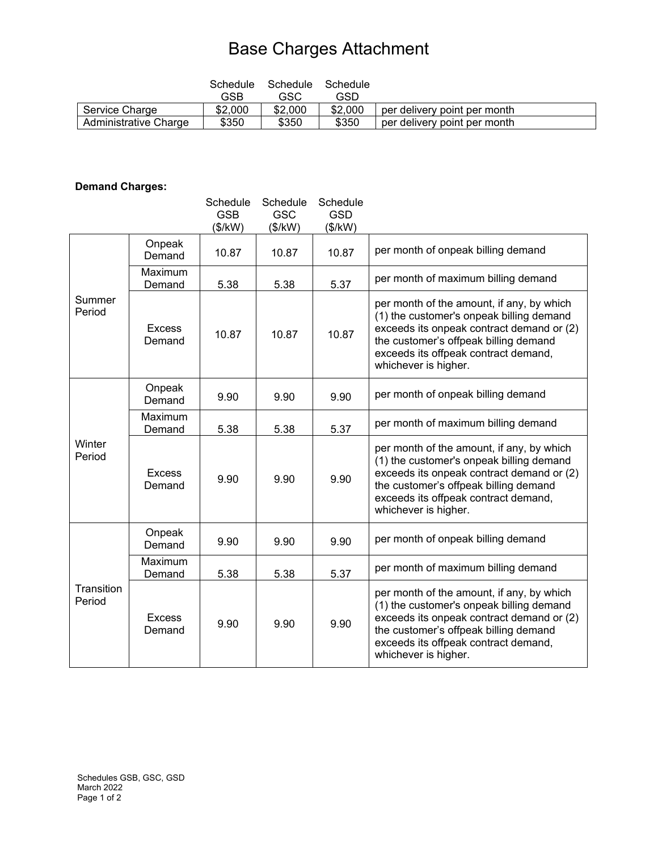# Base Charges Attachment

|                       | Schedule | Schedule | Schedule |                              |
|-----------------------|----------|----------|----------|------------------------------|
|                       | GSB      | GSC      | GSD      |                              |
| Service Charge        | \$2,000  | \$2,000  | \$2,000  | per delivery point per month |
| Administrative Charge | \$350    | \$350    | \$350    | per delivery point per month |

# **Demand Charges:**

|                      |                         | Schedule<br><b>GSB</b> | Schedule<br><b>GSC</b> | Schedule<br><b>GSD</b> |                                                                                                                                                                                                                                             |
|----------------------|-------------------------|------------------------|------------------------|------------------------|---------------------------------------------------------------------------------------------------------------------------------------------------------------------------------------------------------------------------------------------|
|                      |                         | (\$/kW)                | (\$/kW)                | (\$/kW)                |                                                                                                                                                                                                                                             |
| Summer<br>Period     | Onpeak<br>Demand        | 10.87                  | 10.87                  | 10.87                  | per month of onpeak billing demand                                                                                                                                                                                                          |
|                      | Maximum<br>Demand       | 5.38                   | 5.38                   | 5.37                   | per month of maximum billing demand                                                                                                                                                                                                         |
|                      | <b>Excess</b><br>Demand | 10.87                  | 10.87                  | 10.87                  | per month of the amount, if any, by which<br>(1) the customer's onpeak billing demand<br>exceeds its onpeak contract demand or (2)<br>the customer's offpeak billing demand<br>exceeds its offpeak contract demand,<br>whichever is higher. |
| Winter<br>Period     | Onpeak<br>Demand        | 9.90                   | 9.90                   | 9.90                   | per month of onpeak billing demand                                                                                                                                                                                                          |
|                      | Maximum<br>Demand       | 5.38                   | 5.38                   | 5.37                   | per month of maximum billing demand                                                                                                                                                                                                         |
|                      | <b>Excess</b><br>Demand | 9.90                   | 9.90                   | 9.90                   | per month of the amount, if any, by which<br>(1) the customer's onpeak billing demand<br>exceeds its onpeak contract demand or (2)<br>the customer's offpeak billing demand<br>exceeds its offpeak contract demand,<br>whichever is higher. |
| Transition<br>Period | Onpeak<br>Demand        | 9.90                   | 9.90                   | 9.90                   | per month of onpeak billing demand                                                                                                                                                                                                          |
|                      | Maximum<br>Demand       | 5.38                   | 5.38                   | 5.37                   | per month of maximum billing demand                                                                                                                                                                                                         |
|                      | <b>Excess</b><br>Demand | 9.90                   | 9.90                   | 9.90                   | per month of the amount, if any, by which<br>(1) the customer's onpeak billing demand<br>exceeds its onpeak contract demand or (2)<br>the customer's offpeak billing demand<br>exceeds its offpeak contract demand,<br>whichever is higher. |